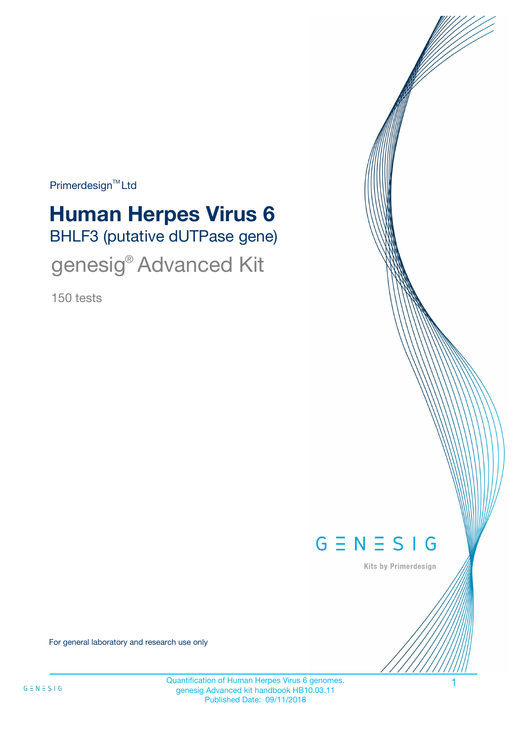Primerdesign<sup>™</sup>Ltd

# BHLF3 (putative dUTPase gene) **Human Herpes Virus 6**

genesig® Advanced Kit

150 tests



Kits by Primerdesign

For general laboratory and research use only

Quantification of Human Herpes Virus 6 genomes. genesig Advanced kit handbook HB10.03.11 Published Date: 09/11/2018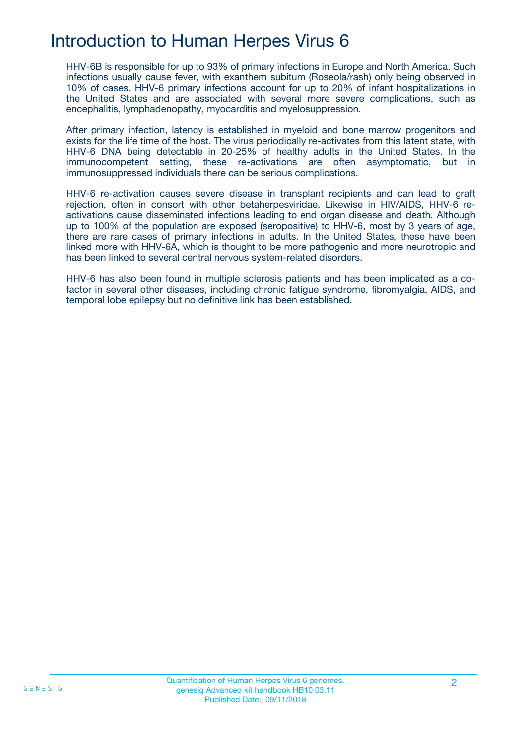## Introduction to Human Herpes Virus 6

HHV-6B is responsible for up to 93% of primary infections in Europe and North America. Such infections usually cause fever, with exanthem subitum (Roseola/rash) only being observed in 10% of cases. HHV-6 primary infections account for up to 20% of infant hospitalizations in the United States and are associated with several more severe complications, such as encephalitis, lymphadenopathy, myocarditis and myelosuppression.

After primary infection, latency is established in myeloid and bone marrow progenitors and exists for the life time of the host. The virus periodically re-activates from this latent state, with HHV-6 DNA being detectable in 20-25% of healthy adults in the United States. In the immunocompetent setting, these re-activations are often asymptomatic, but in immunosuppressed individuals there can be serious complications.

HHV-6 re-activation causes severe disease in transplant recipients and can lead to graft rejection, often in consort with other betaherpesviridae. Likewise in HIV/AIDS, HHV-6 reactivations cause disseminated infections leading to end organ disease and death. Although up to 100% of the population are exposed (seropositive) to HHV-6, most by 3 years of age, there are rare cases of primary infections in adults. In the United States, these have been linked more with HHV-6A, which is thought to be more pathogenic and more neurotropic and has been linked to several central nervous system-related disorders.

HHV-6 has also been found in multiple sclerosis patients and has been implicated as a cofactor in several other diseases, including chronic fatigue syndrome, fibromyalgia, AIDS, and temporal lobe epilepsy but no definitive link has been established.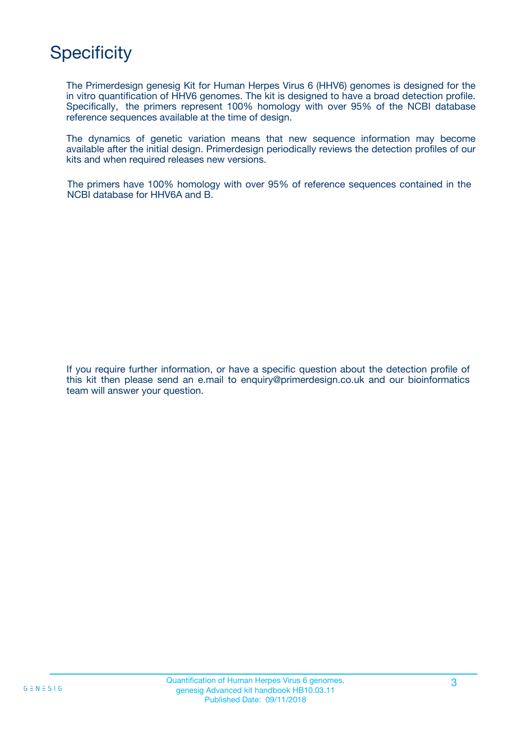## **Specificity**

The Primerdesign genesig Kit for Human Herpes Virus 6 (HHV6) genomes is designed for the in vitro quantification of HHV6 genomes. The kit is designed to have a broad detection profile. Specifically, the primers represent 100% homology with over 95% of the NCBI database reference sequences available at the time of design.

The dynamics of genetic variation means that new sequence information may become available after the initial design. Primerdesign periodically reviews the detection profiles of our kits and when required releases new versions.

The primers have 100% homology with over 95% of reference sequences contained in the NCBI database for HHV6A and B.

If you require further information, or have a specific question about the detection profile of this kit then please send an e.mail to enquiry@primerdesign.co.uk and our bioinformatics team will answer your question.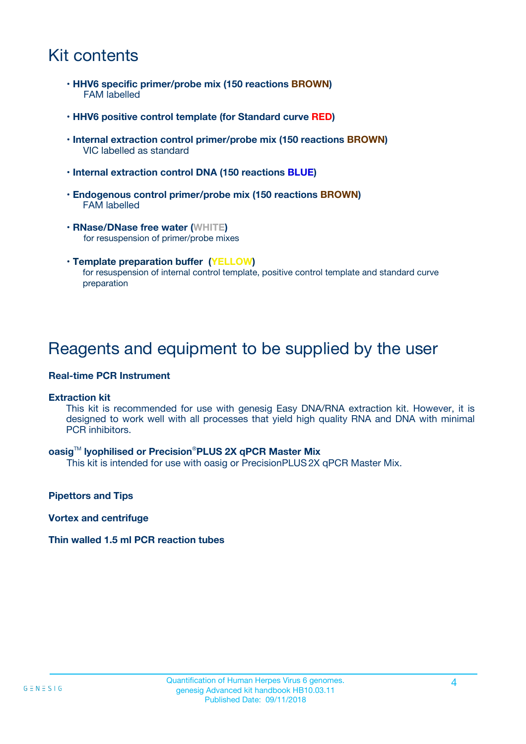## Kit contents

- **HHV6 specific primer/probe mix (150 reactions BROWN)** FAM labelled
- **HHV6 positive control template (for Standard curve RED)**
- **Internal extraction control primer/probe mix (150 reactions BROWN)** VIC labelled as standard
- **Internal extraction control DNA (150 reactions BLUE)**
- **Endogenous control primer/probe mix (150 reactions BROWN)** FAM labelled
- **RNase/DNase free water (WHITE)** for resuspension of primer/probe mixes
- **Template preparation buffer (YELLOW)** for resuspension of internal control template, positive control template and standard curve preparation

### Reagents and equipment to be supplied by the user

#### **Real-time PCR Instrument**

#### **Extraction kit**

This kit is recommended for use with genesig Easy DNA/RNA extraction kit. However, it is designed to work well with all processes that yield high quality RNA and DNA with minimal PCR inhibitors.

#### **oasig**TM **lyophilised or Precision**®**PLUS 2X qPCR Master Mix**

This kit is intended for use with oasig or PrecisionPLUS2X qPCR Master Mix.

**Pipettors and Tips**

**Vortex and centrifuge**

#### **Thin walled 1.5 ml PCR reaction tubes**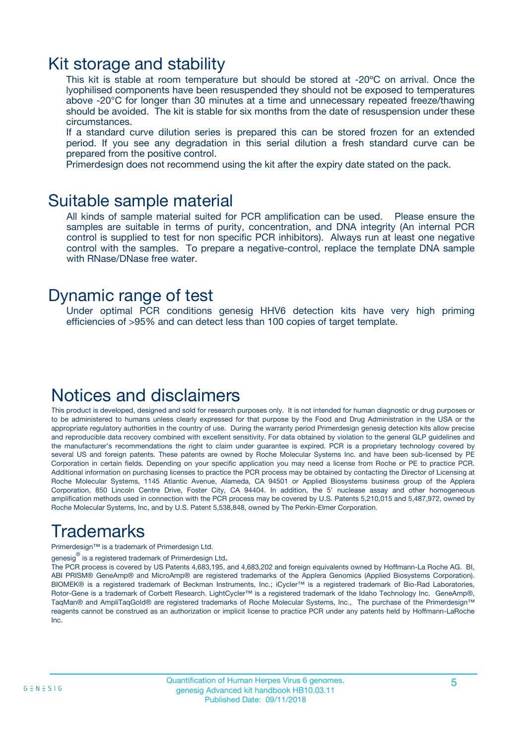### Kit storage and stability

This kit is stable at room temperature but should be stored at -20ºC on arrival. Once the lyophilised components have been resuspended they should not be exposed to temperatures above -20°C for longer than 30 minutes at a time and unnecessary repeated freeze/thawing should be avoided. The kit is stable for six months from the date of resuspension under these circumstances.

If a standard curve dilution series is prepared this can be stored frozen for an extended period. If you see any degradation in this serial dilution a fresh standard curve can be prepared from the positive control.

Primerdesign does not recommend using the kit after the expiry date stated on the pack.

### Suitable sample material

All kinds of sample material suited for PCR amplification can be used. Please ensure the samples are suitable in terms of purity, concentration, and DNA integrity (An internal PCR control is supplied to test for non specific PCR inhibitors). Always run at least one negative control with the samples. To prepare a negative-control, replace the template DNA sample with RNase/DNase free water.

### Dynamic range of test

Under optimal PCR conditions genesig HHV6 detection kits have very high priming efficiencies of >95% and can detect less than 100 copies of target template.

## Notices and disclaimers

This product is developed, designed and sold for research purposes only. It is not intended for human diagnostic or drug purposes or to be administered to humans unless clearly expressed for that purpose by the Food and Drug Administration in the USA or the appropriate regulatory authorities in the country of use. During the warranty period Primerdesign genesig detection kits allow precise and reproducible data recovery combined with excellent sensitivity. For data obtained by violation to the general GLP guidelines and the manufacturer's recommendations the right to claim under guarantee is expired. PCR is a proprietary technology covered by several US and foreign patents. These patents are owned by Roche Molecular Systems Inc. and have been sub-licensed by PE Corporation in certain fields. Depending on your specific application you may need a license from Roche or PE to practice PCR. Additional information on purchasing licenses to practice the PCR process may be obtained by contacting the Director of Licensing at Roche Molecular Systems, 1145 Atlantic Avenue, Alameda, CA 94501 or Applied Biosystems business group of the Applera Corporation, 850 Lincoln Centre Drive, Foster City, CA 94404. In addition, the 5' nuclease assay and other homogeneous amplification methods used in connection with the PCR process may be covered by U.S. Patents 5,210,015 and 5,487,972, owned by Roche Molecular Systems, Inc, and by U.S. Patent 5,538,848, owned by The Perkin-Elmer Corporation.

## Trademarks

Primerdesign™ is a trademark of Primerdesign Ltd.

genesig $^\circledR$  is a registered trademark of Primerdesign Ltd.

The PCR process is covered by US Patents 4,683,195, and 4,683,202 and foreign equivalents owned by Hoffmann-La Roche AG. BI, ABI PRISM® GeneAmp® and MicroAmp® are registered trademarks of the Applera Genomics (Applied Biosystems Corporation). BIOMEK® is a registered trademark of Beckman Instruments, Inc.; iCycler™ is a registered trademark of Bio-Rad Laboratories, Rotor-Gene is a trademark of Corbett Research. LightCycler™ is a registered trademark of the Idaho Technology Inc. GeneAmp®, TaqMan® and AmpliTaqGold® are registered trademarks of Roche Molecular Systems, Inc., The purchase of the Primerdesign™ reagents cannot be construed as an authorization or implicit license to practice PCR under any patents held by Hoffmann-LaRoche Inc.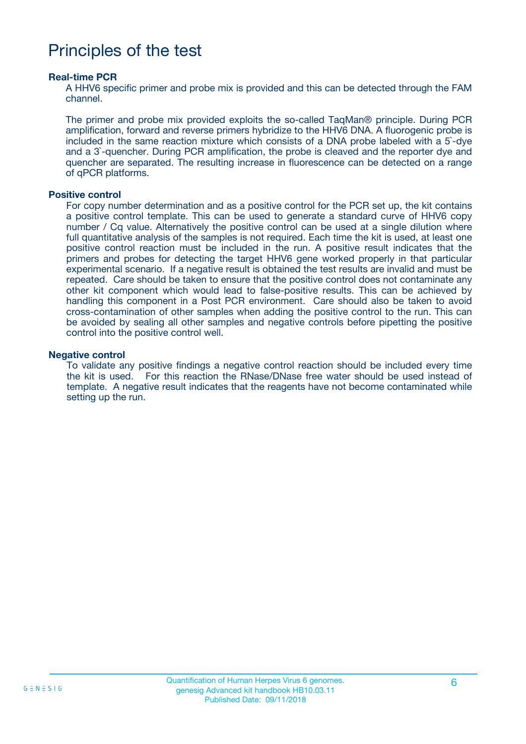### Principles of the test

#### **Real-time PCR**

A HHV6 specific primer and probe mix is provided and this can be detected through the FAM channel.

The primer and probe mix provided exploits the so-called TaqMan® principle. During PCR amplification, forward and reverse primers hybridize to the HHV6 DNA. A fluorogenic probe is included in the same reaction mixture which consists of a DNA probe labeled with a 5`-dye and a 3`-quencher. During PCR amplification, the probe is cleaved and the reporter dye and quencher are separated. The resulting increase in fluorescence can be detected on a range of qPCR platforms.

#### **Positive control**

For copy number determination and as a positive control for the PCR set up, the kit contains a positive control template. This can be used to generate a standard curve of HHV6 copy number / Cq value. Alternatively the positive control can be used at a single dilution where full quantitative analysis of the samples is not required. Each time the kit is used, at least one positive control reaction must be included in the run. A positive result indicates that the primers and probes for detecting the target HHV6 gene worked properly in that particular experimental scenario. If a negative result is obtained the test results are invalid and must be repeated. Care should be taken to ensure that the positive control does not contaminate any other kit component which would lead to false-positive results. This can be achieved by handling this component in a Post PCR environment. Care should also be taken to avoid cross-contamination of other samples when adding the positive control to the run. This can be avoided by sealing all other samples and negative controls before pipetting the positive control into the positive control well.

#### **Negative control**

To validate any positive findings a negative control reaction should be included every time the kit is used. For this reaction the RNase/DNase free water should be used instead of template. A negative result indicates that the reagents have not become contaminated while setting up the run.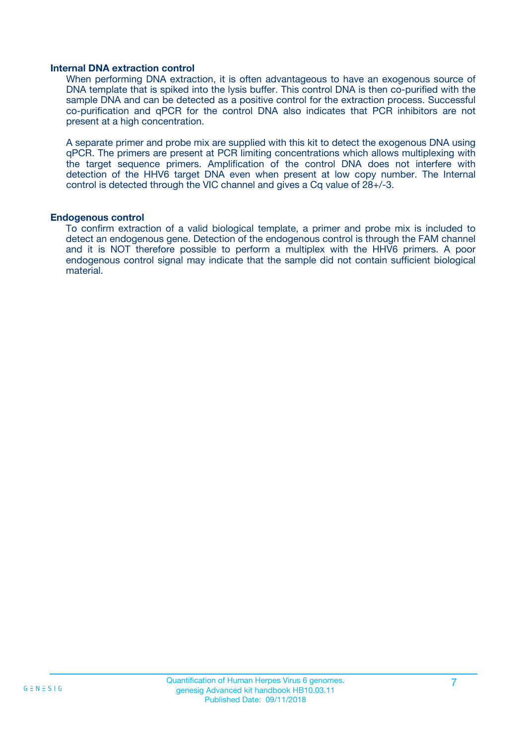#### **Internal DNA extraction control**

When performing DNA extraction, it is often advantageous to have an exogenous source of DNA template that is spiked into the lysis buffer. This control DNA is then co-purified with the sample DNA and can be detected as a positive control for the extraction process. Successful co-purification and qPCR for the control DNA also indicates that PCR inhibitors are not present at a high concentration.

A separate primer and probe mix are supplied with this kit to detect the exogenous DNA using qPCR. The primers are present at PCR limiting concentrations which allows multiplexing with the target sequence primers. Amplification of the control DNA does not interfere with detection of the HHV6 target DNA even when present at low copy number. The Internal control is detected through the VIC channel and gives a Cq value of 28+/-3.

#### **Endogenous control**

To confirm extraction of a valid biological template, a primer and probe mix is included to detect an endogenous gene. Detection of the endogenous control is through the FAM channel and it is NOT therefore possible to perform a multiplex with the HHV6 primers. A poor endogenous control signal may indicate that the sample did not contain sufficient biological material.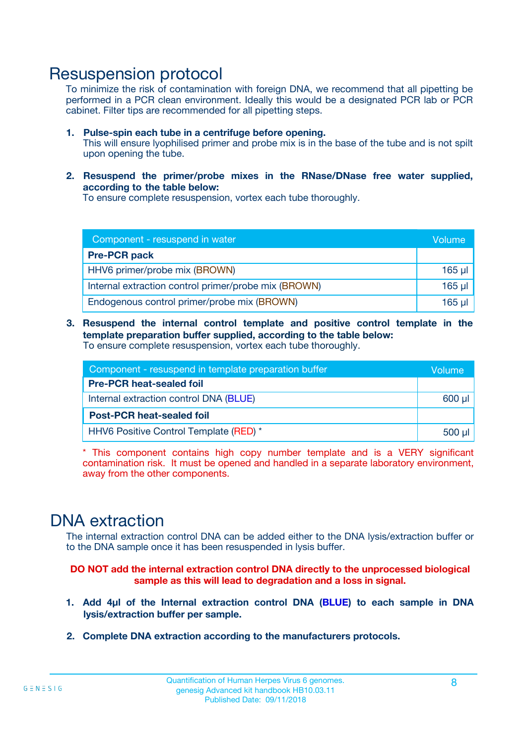### Resuspension protocol

To minimize the risk of contamination with foreign DNA, we recommend that all pipetting be performed in a PCR clean environment. Ideally this would be a designated PCR lab or PCR cabinet. Filter tips are recommended for all pipetting steps.

- **1. Pulse-spin each tube in a centrifuge before opening.** This will ensure lyophilised primer and probe mix is in the base of the tube and is not spilt upon opening the tube.
- **2. Resuspend the primer/probe mixes in the RNase/DNase free water supplied, according to the table below:**

To ensure complete resuspension, vortex each tube thoroughly.

| Component - resuspend in water                       |         |  |
|------------------------------------------------------|---------|--|
| <b>Pre-PCR pack</b>                                  |         |  |
| HHV6 primer/probe mix (BROWN)                        | $165$ µ |  |
| Internal extraction control primer/probe mix (BROWN) | $165$ µ |  |
| Endogenous control primer/probe mix (BROWN)          | 165 µl  |  |

**3. Resuspend the internal control template and positive control template in the template preparation buffer supplied, according to the table below:** To ensure complete resuspension, vortex each tube thoroughly.

| Component - resuspend in template preparation buffer |          |  |  |
|------------------------------------------------------|----------|--|--|
| <b>Pre-PCR heat-sealed foil</b>                      |          |  |  |
| Internal extraction control DNA (BLUE)               |          |  |  |
| <b>Post-PCR heat-sealed foil</b>                     |          |  |  |
| HHV6 Positive Control Template (RED) *               | $500$ µl |  |  |

\* This component contains high copy number template and is a VERY significant contamination risk. It must be opened and handled in a separate laboratory environment, away from the other components.

### DNA extraction

The internal extraction control DNA can be added either to the DNA lysis/extraction buffer or to the DNA sample once it has been resuspended in lysis buffer.

**DO NOT add the internal extraction control DNA directly to the unprocessed biological sample as this will lead to degradation and a loss in signal.**

- **1. Add 4µl of the Internal extraction control DNA (BLUE) to each sample in DNA lysis/extraction buffer per sample.**
- **2. Complete DNA extraction according to the manufacturers protocols.**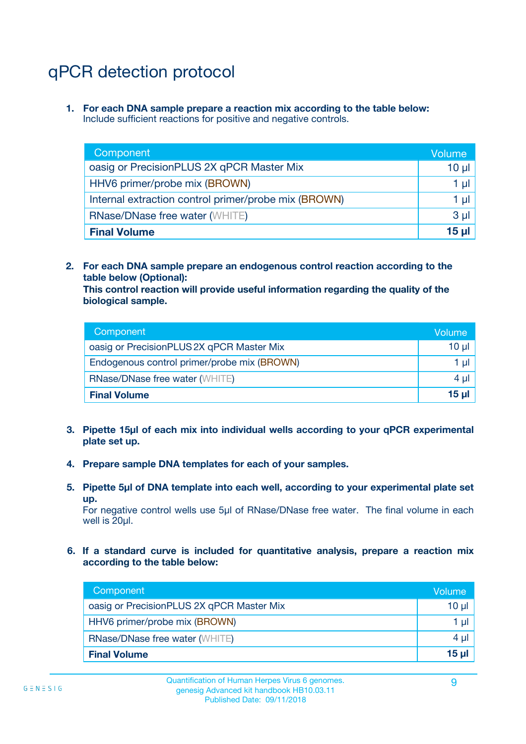# qPCR detection protocol

**1. For each DNA sample prepare a reaction mix according to the table below:** Include sufficient reactions for positive and negative controls.

| Component                                            | Volume   |
|------------------------------------------------------|----------|
| oasig or PrecisionPLUS 2X qPCR Master Mix            | $10 \mu$ |
| HHV6 primer/probe mix (BROWN)                        | 1 µI     |
| Internal extraction control primer/probe mix (BROWN) | 1 µl     |
| <b>RNase/DNase free water (WHITE)</b>                | $3 \mu$  |
| <b>Final Volume</b>                                  | 15 µl    |

**2. For each DNA sample prepare an endogenous control reaction according to the table below (Optional):**

**This control reaction will provide useful information regarding the quality of the biological sample.**

| Component                                   | Volume   |
|---------------------------------------------|----------|
| oasig or PrecisionPLUS 2X qPCR Master Mix   | $10 \mu$ |
| Endogenous control primer/probe mix (BROWN) | 1 µI     |
| <b>RNase/DNase free water (WHITE)</b>       | $4 \mu$  |
| <b>Final Volume</b>                         | 15 µl    |

- **3. Pipette 15µl of each mix into individual wells according to your qPCR experimental plate set up.**
- **4. Prepare sample DNA templates for each of your samples.**
- **5. Pipette 5µl of DNA template into each well, according to your experimental plate set up.**

For negative control wells use 5µl of RNase/DNase free water. The final volume in each well is 20ul.

**6. If a standard curve is included for quantitative analysis, prepare a reaction mix according to the table below:**

| Component                                 | Volume     |
|-------------------------------------------|------------|
| oasig or PrecisionPLUS 2X qPCR Master Mix | 10 $\mu$   |
| HHV6 primer/probe mix (BROWN)             | 1 µI I     |
| <b>RNase/DNase free water (WHITE)</b>     | $4 \mu$    |
| <b>Final Volume</b>                       | $15$ $\mu$ |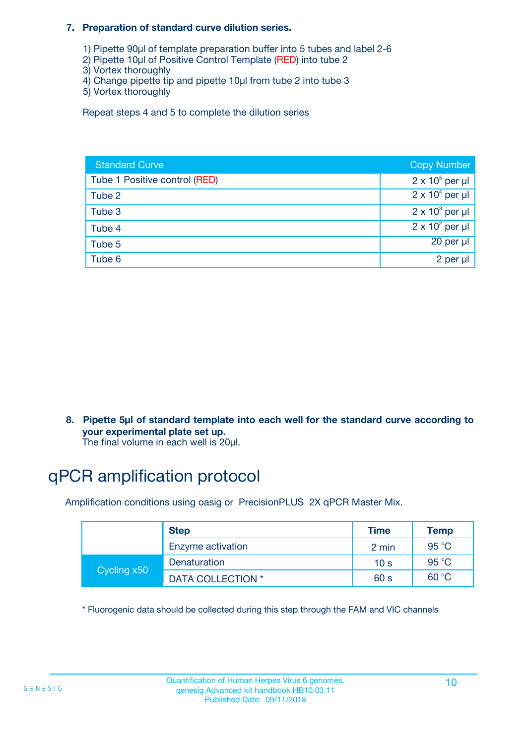#### **7. Preparation of standard curve dilution series.**

- 1) Pipette 90µl of template preparation buffer into 5 tubes and label 2-6
- 2) Pipette 10µl of Positive Control Template (RED) into tube 2
- 3) Vortex thoroughly
- 4) Change pipette tip and pipette 10µl from tube 2 into tube 3
- 5) Vortex thoroughly

Repeat steps 4 and 5 to complete the dilution series

| <b>Standard Curve</b>         | <b>Copy Number</b>     |
|-------------------------------|------------------------|
| Tube 1 Positive control (RED) | $2 \times 10^5$ per µl |
| Tube 2                        | $2 \times 10^4$ per µl |
| Tube 3                        | $2 \times 10^3$ per µl |
| Tube 4                        | $2 \times 10^2$ per µl |
| Tube 5                        | 20 per µl              |
| Tube 6                        | 2 per µl               |

**8. Pipette 5µl of standard template into each well for the standard curve according to your experimental plate set up.**

#### The final volume in each well is 20µl.

## qPCR amplification protocol

Amplification conditions using oasig or PrecisionPLUS 2X qPCR Master Mix.

|             | <b>Step</b>       | <b>Time</b>     | Temp    |
|-------------|-------------------|-----------------|---------|
|             | Enzyme activation | 2 min           | 95 °C   |
| Cycling x50 | Denaturation      | 10 <sub>s</sub> | 95 $°C$ |
|             | DATA COLLECTION * | 60 s            | 60 °C   |

\* Fluorogenic data should be collected during this step through the FAM and VIC channels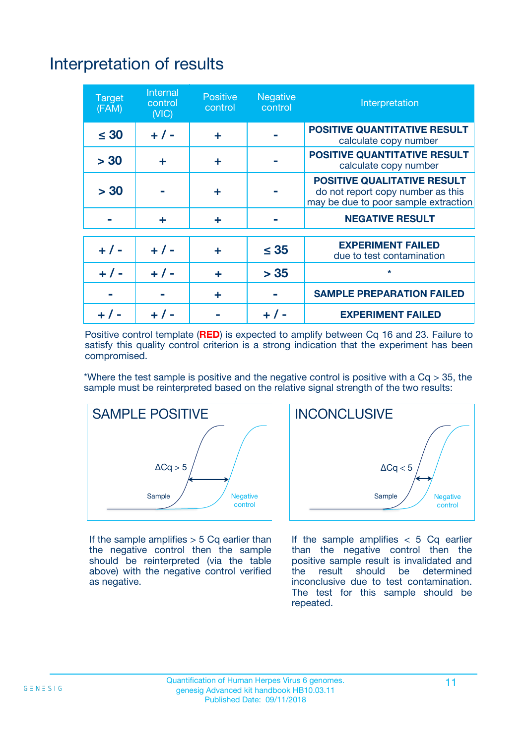# Interpretation of results

| <b>Target</b><br>(FAM) | <b>Internal</b><br>control<br>(NIC) | <b>Positive</b><br>control | <b>Negative</b><br>control | Interpretation                                                                                                  |
|------------------------|-------------------------------------|----------------------------|----------------------------|-----------------------------------------------------------------------------------------------------------------|
| $\leq 30$              | $+ 1 -$                             | ÷                          |                            | <b>POSITIVE QUANTITATIVE RESULT</b><br>calculate copy number                                                    |
| > 30                   | ٠                                   | ÷                          |                            | <b>POSITIVE QUANTITATIVE RESULT</b><br>calculate copy number                                                    |
| > 30                   |                                     | ÷                          |                            | <b>POSITIVE QUALITATIVE RESULT</b><br>do not report copy number as this<br>may be due to poor sample extraction |
|                        | ÷                                   | ÷                          |                            | <b>NEGATIVE RESULT</b>                                                                                          |
| $+ 1 -$                | $+ 1 -$                             | ÷                          | $\leq$ 35                  | <b>EXPERIMENT FAILED</b><br>due to test contamination                                                           |
| $+$ / -                | $+ 1 -$                             | ÷                          | > 35                       | $\star$                                                                                                         |
|                        |                                     | ÷                          |                            | <b>SAMPLE PREPARATION FAILED</b>                                                                                |
|                        |                                     |                            | $+$ /                      | <b>EXPERIMENT FAILED</b>                                                                                        |

Positive control template (**RED**) is expected to amplify between Cq 16 and 23. Failure to satisfy this quality control criterion is a strong indication that the experiment has been compromised.

\*Where the test sample is positive and the negative control is positive with a  $Ca > 35$ , the sample must be reinterpreted based on the relative signal strength of the two results:



If the sample amplifies  $> 5$  Cq earlier than the negative control then the sample should be reinterpreted (via the table above) with the negative control verified as negative.



If the sample amplifies  $< 5$  Cq earlier than the negative control then the positive sample result is invalidated and<br>the result should be determined  $the$  result should be inconclusive due to test contamination. The test for this sample should be repeated.